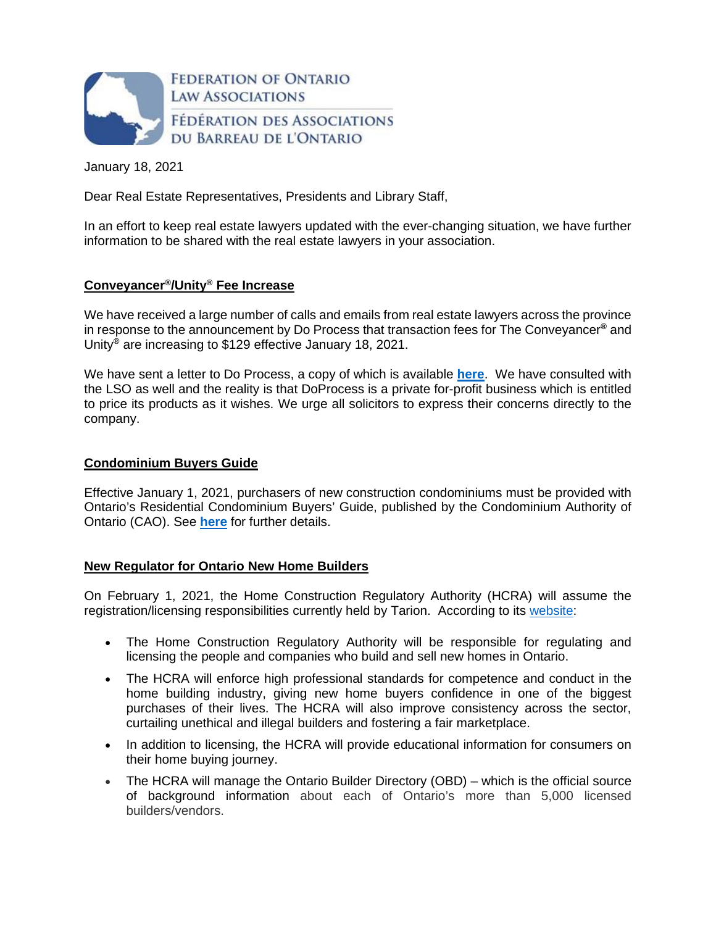

January 18, 2021

Dear Real Estate Representatives, Presidents and Library Staff,

In an effort to keep real estate lawyers updated with the ever-changing situation, we have further information to be shared with the real estate lawyers in your association.

# **Conveyancer® /Unity® Fee Increase**

We have received a large number of calls and emails from real estate lawyers across the province in response to the announcement by Do Process that transaction fees for The Conveyancer**®** and Unity**®** are increasing to \$129 effective January 18, 2021.

We have sent a letter to Do Process, a copy of which is available **[here](https://img1.wsimg.com/blobby/go/63f6349d-d85d-4511-bc5f-4314d54b45d0/downloads/2021.01.18%20Ltr%20to%20Do%20Process.pdf?ver=1610982494256)**. We have consulted with the LSO as well and the reality is that DoProcess is a private for-profit business which is entitled to price its products as it wishes. We urge all solicitors to express their concerns directly to the company.

### **Condominium Buyers Guide**

Effective January 1, 2021, purchasers of new construction condominiums must be provided with Ontario's Residential Condominium Buyers' Guide, published by the Condominium Authority of Ontario (CAO). See **[here](https://www.condoauthorityontario.ca/wp-content/uploads/2020/11/Ontarios-Condominium-Buyers-Guide-2020-FINAL-1.pdf)** for further details.

#### **New Regulator for Ontario New Home Builders**

On February 1, 2021, the Home Construction Regulatory Authority (HCRA) will assume the registration/licensing responsibilities currently held by Tarion. According to its [website](https://www.hcraontario.ca/):

- The Home Construction Regulatory Authority will be responsible for regulating and licensing the people and companies who build and sell new homes in Ontario.
- The HCRA will enforce high professional standards for competence and conduct in the home building industry, giving new home buyers confidence in one of the biggest purchases of their lives. The HCRA will also improve consistency across the sector, curtailing unethical and illegal builders and fostering a fair marketplace.
- In addition to licensing, the HCRA will provide educational information for consumers on their home buying journey.
- The HCRA will manage the Ontario Builder Directory (OBD) which is the official source of background information about each of Ontario's more than 5,000 licensed builders/vendors.